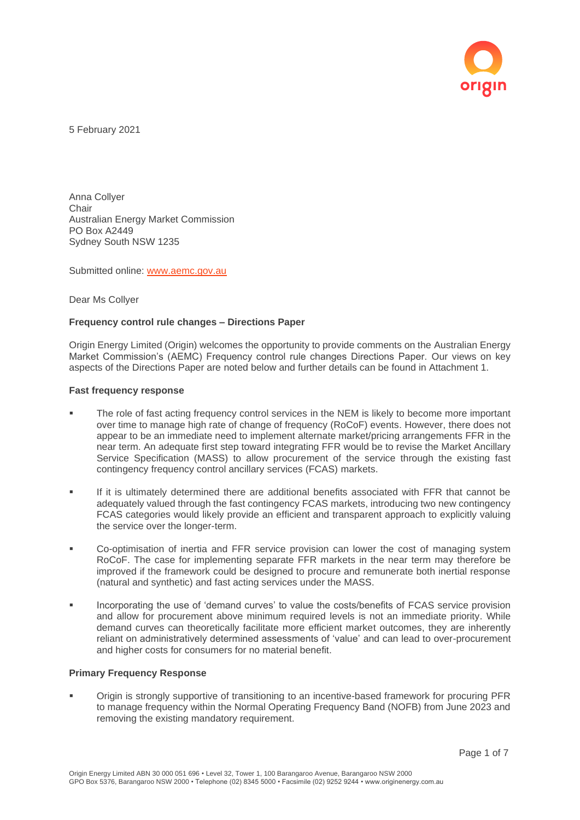

5 February 2021

Anna Collyer **Chair** Australian Energy Market Commission PO Box A2449 Sydney South NSW 1235

Submitted online: [www.aemc.gov.au](http://www.aemc.gov.au/)

Dear Ms Collyer

### **Frequency control rule changes – Directions Paper**

Origin Energy Limited (Origin) welcomes the opportunity to provide comments on the Australian Energy Market Commission's (AEMC) Frequency control rule changes Directions Paper. Our views on key aspects of the Directions Paper are noted below and further details can be found in Attachment 1.

#### **Fast frequency response**

- The role of fast acting frequency control services in the NEM is likely to become more important over time to manage high rate of change of frequency (RoCoF) events. However, there does not appear to be an immediate need to implement alternate market/pricing arrangements FFR in the near term. An adequate first step toward integrating FFR would be to revise the Market Ancillary Service Specification (MASS) to allow procurement of the service through the existing fast contingency frequency control ancillary services (FCAS) markets.
- If it is ultimately determined there are additional benefits associated with FFR that cannot be adequately valued through the fast contingency FCAS markets, introducing two new contingency FCAS categories would likely provide an efficient and transparent approach to explicitly valuing the service over the longer-term.
- Co-optimisation of inertia and FFR service provision can lower the cost of managing system RoCoF. The case for implementing separate FFR markets in the near term may therefore be improved if the framework could be designed to procure and remunerate both inertial response (natural and synthetic) and fast acting services under the MASS.
- **Incorporating the use of 'demand curves' to value the costs/benefits of FCAS service provision** and allow for procurement above minimum required levels is not an immediate priority. While demand curves can theoretically facilitate more efficient market outcomes, they are inherently reliant on administratively determined assessments of 'value' and can lead to over-procurement and higher costs for consumers for no material benefit.

# **Primary Frequency Response**

Origin is strongly supportive of transitioning to an incentive-based framework for procuring PFR to manage frequency within the Normal Operating Frequency Band (NOFB) from June 2023 and removing the existing mandatory requirement.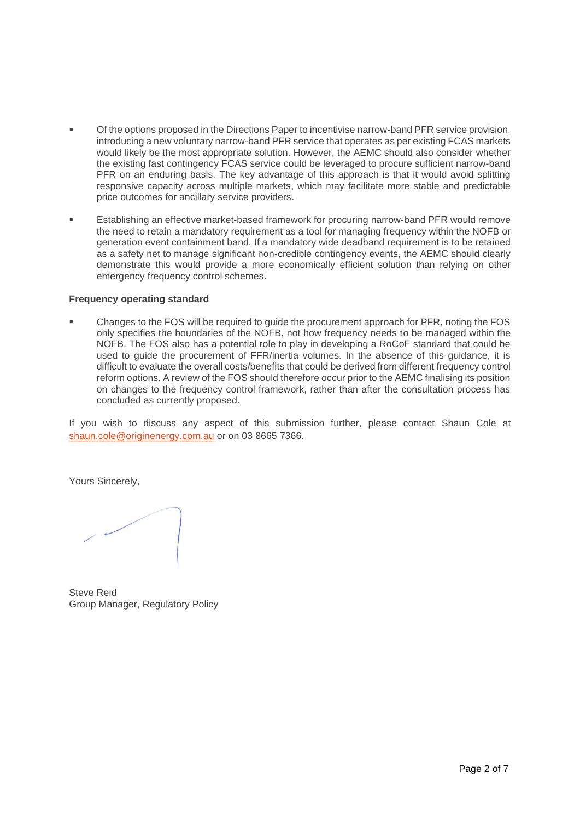- Of the options proposed in the Directions Paper to incentivise narrow-band PFR service provision, introducing a new voluntary narrow-band PFR service that operates as per existing FCAS markets would likely be the most appropriate solution. However, the AEMC should also consider whether the existing fast contingency FCAS service could be leveraged to procure sufficient narrow-band PFR on an enduring basis. The key advantage of this approach is that it would avoid splitting responsive capacity across multiple markets, which may facilitate more stable and predictable price outcomes for ancillary service providers.
- Establishing an effective market-based framework for procuring narrow-band PFR would remove the need to retain a mandatory requirement as a tool for managing frequency within the NOFB or generation event containment band. If a mandatory wide deadband requirement is to be retained as a safety net to manage significant non-credible contingency events, the AEMC should clearly demonstrate this would provide a more economically efficient solution than relying on other emergency frequency control schemes.

## **Frequency operating standard**

Changes to the FOS will be required to guide the procurement approach for PFR, noting the FOS only specifies the boundaries of the NOFB, not how frequency needs to be managed within the NOFB. The FOS also has a potential role to play in developing a RoCoF standard that could be used to guide the procurement of FFR/inertia volumes. In the absence of this guidance, it is difficult to evaluate the overall costs/benefits that could be derived from different frequency control reform options. A review of the FOS should therefore occur prior to the AEMC finalising its position on changes to the frequency control framework, rather than after the consultation process has concluded as currently proposed.

If you wish to discuss any aspect of this submission further, please contact Shaun Cole at [shaun.cole@originenergy.com.au](mailto:shaun.cole@originenergy.com.au) or on 03 8665 7366.

Yours Sincerely,

Steve Reid Group Manager, Regulatory Policy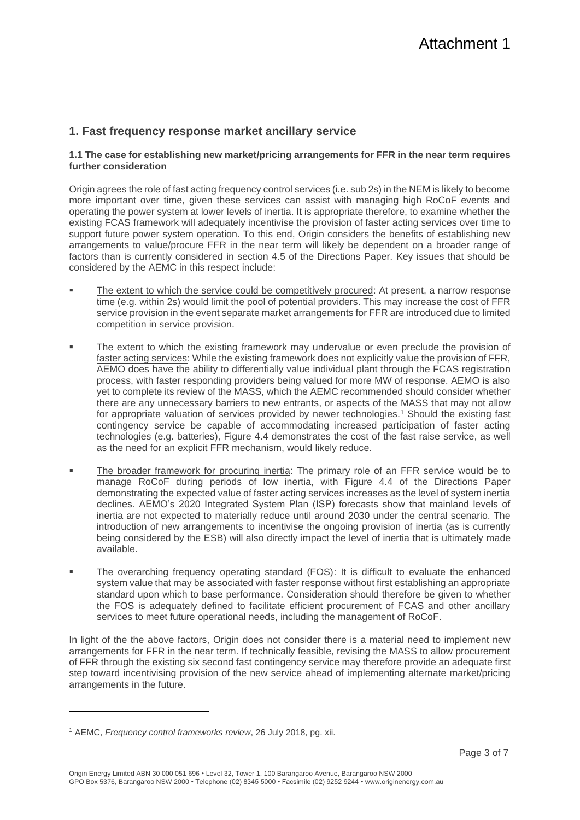# **1. Fast frequency response market ancillary service**

## **1.1 The case for establishing new market/pricing arrangements for FFR in the near term requires further consideration**

Origin agrees the role of fast acting frequency control services (i.e. sub 2s) in the NEM is likely to become more important over time, given these services can assist with managing high RoCoF events and operating the power system at lower levels of inertia. It is appropriate therefore, to examine whether the existing FCAS framework will adequately incentivise the provision of faster acting services over time to support future power system operation. To this end, Origin considers the benefits of establishing new arrangements to value/procure FFR in the near term will likely be dependent on a broader range of factors than is currently considered in section 4.5 of the Directions Paper. Key issues that should be considered by the AEMC in this respect include:

- The extent to which the service could be competitively procured: At present, a narrow response time (e.g. within 2s) would limit the pool of potential providers. This may increase the cost of FFR service provision in the event separate market arrangements for FFR are introduced due to limited competition in service provision.
- **The extent to which the existing framework may undervalue or even preclude the provision of** faster acting services: While the existing framework does not explicitly value the provision of FFR. AEMO does have the ability to differentially value individual plant through the FCAS registration process, with faster responding providers being valued for more MW of response. AEMO is also yet to complete its review of the MASS, which the AEMC recommended should consider whether there are any unnecessary barriers to new entrants, or aspects of the MASS that may not allow for appropriate valuation of services provided by newer technologies.<sup>1</sup> Should the existing fast contingency service be capable of accommodating increased participation of faster acting technologies (e.g. batteries), Figure 4.4 demonstrates the cost of the fast raise service, as well as the need for an explicit FFR mechanism, would likely reduce.
- The broader framework for procuring inertia: The primary role of an FFR service would be to manage RoCoF during periods of low inertia, with Figure 4.4 of the Directions Paper demonstrating the expected value of faster acting services increases as the level of system inertia declines. AEMO's 2020 Integrated System Plan (ISP) forecasts show that mainland levels of inertia are not expected to materially reduce until around 2030 under the central scenario. The introduction of new arrangements to incentivise the ongoing provision of inertia (as is currently being considered by the ESB) will also directly impact the level of inertia that is ultimately made available.
- The overarching frequency operating standard (FOS): It is difficult to evaluate the enhanced system value that may be associated with faster response without first establishing an appropriate standard upon which to base performance. Consideration should therefore be given to whether the FOS is adequately defined to facilitate efficient procurement of FCAS and other ancillary services to meet future operational needs, including the management of RoCoF.

In light of the the above factors, Origin does not consider there is a material need to implement new arrangements for FFR in the near term. If technically feasible, revising the MASS to allow procurement of FFR through the existing six second fast contingency service may therefore provide an adequate first step toward incentivising provision of the new service ahead of implementing alternate market/pricing arrangements in the future.

<sup>1</sup> AEMC, *Frequency control frameworks review*, 26 July 2018, pg. xii.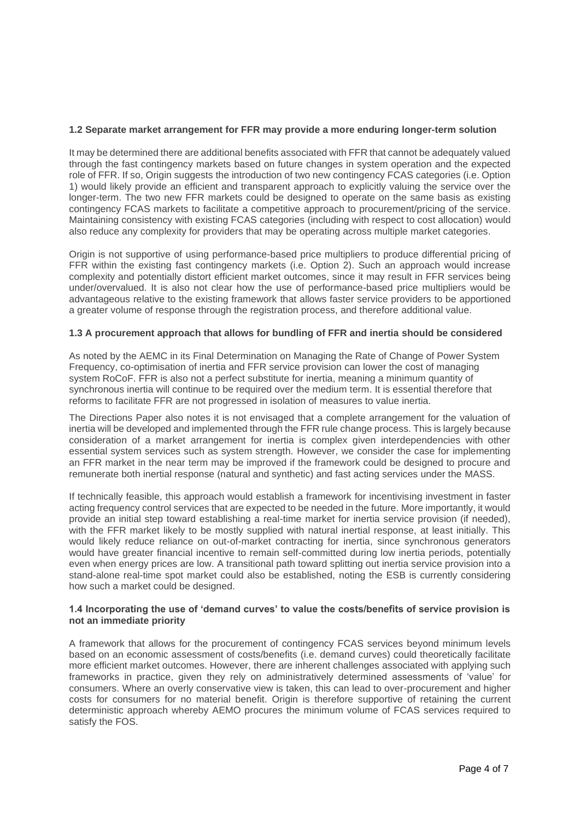## **1.2 Separate market arrangement for FFR may provide a more enduring longer-term solution**

It may be determined there are additional benefits associated with FFR that cannot be adequately valued through the fast contingency markets based on future changes in system operation and the expected role of FFR. If so, Origin suggests the introduction of two new contingency FCAS categories (i.e. Option 1) would likely provide an efficient and transparent approach to explicitly valuing the service over the longer-term. The two new FFR markets could be designed to operate on the same basis as existing contingency FCAS markets to facilitate a competitive approach to procurement/pricing of the service. Maintaining consistency with existing FCAS categories (including with respect to cost allocation) would also reduce any complexity for providers that may be operating across multiple market categories.

Origin is not supportive of using performance-based price multipliers to produce differential pricing of FFR within the existing fast contingency markets (i.e. Option 2). Such an approach would increase complexity and potentially distort efficient market outcomes, since it may result in FFR services being under/overvalued. It is also not clear how the use of performance-based price multipliers would be advantageous relative to the existing framework that allows faster service providers to be apportioned a greater volume of response through the registration process, and therefore additional value.

## **1.3 A procurement approach that allows for bundling of FFR and inertia should be considered**

As noted by the AEMC in its Final Determination on Managing the Rate of Change of Power System Frequency, co-optimisation of inertia and FFR service provision can lower the cost of managing system RoCoF. FFR is also not a perfect substitute for inertia, meaning a minimum quantity of synchronous inertia will continue to be required over the medium term. It is essential therefore that reforms to facilitate FFR are not progressed in isolation of measures to value inertia.

The Directions Paper also notes it is not envisaged that a complete arrangement for the valuation of inertia will be developed and implemented through the FFR rule change process. This is largely because consideration of a market arrangement for inertia is complex given interdependencies with other essential system services such as system strength. However, we consider the case for implementing an FFR market in the near term may be improved if the framework could be designed to procure and remunerate both inertial response (natural and synthetic) and fast acting services under the MASS.

If technically feasible, this approach would establish a framework for incentivising investment in faster acting frequency control services that are expected to be needed in the future. More importantly, it would provide an initial step toward establishing a real-time market for inertia service provision (if needed), with the FFR market likely to be mostly supplied with natural inertial response, at least initially. This would likely reduce reliance on out-of-market contracting for inertia, since synchronous generators would have greater financial incentive to remain self-committed during low inertia periods, potentially even when energy prices are low. A transitional path toward splitting out inertia service provision into a stand-alone real-time spot market could also be established, noting the ESB is currently considering how such a market could be designed.

### **1.4 Incorporating the use of 'demand curves' to value the costs/benefits of service provision is not an immediate priority**

A framework that allows for the procurement of contingency FCAS services beyond minimum levels based on an economic assessment of costs/benefits (i.e. demand curves) could theoretically facilitate more efficient market outcomes. However, there are inherent challenges associated with applying such frameworks in practice, given they rely on administratively determined assessments of 'value' for consumers. Where an overly conservative view is taken, this can lead to over-procurement and higher costs for consumers for no material benefit. Origin is therefore supportive of retaining the current deterministic approach whereby AEMO procures the minimum volume of FCAS services required to satisfy the FOS.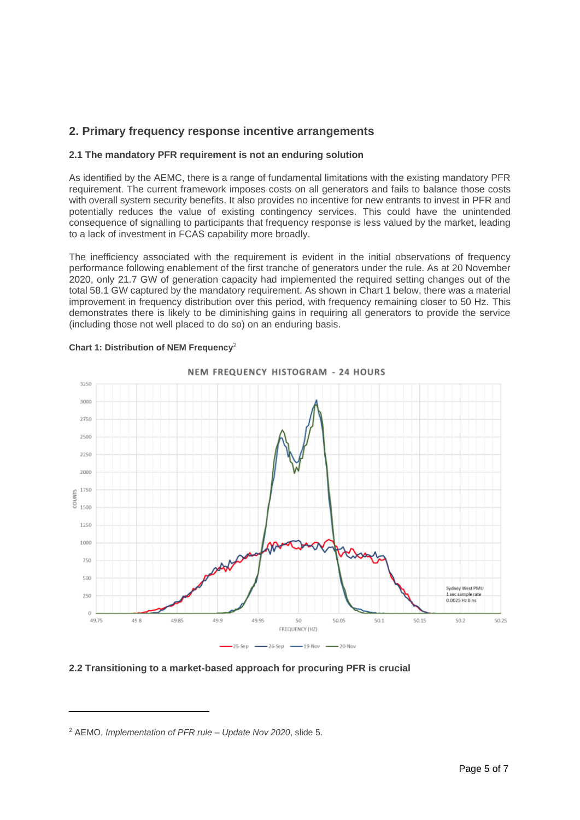# **2. Primary frequency response incentive arrangements**

## **2.1 The mandatory PFR requirement is not an enduring solution**

As identified by the AEMC, there is a range of fundamental limitations with the existing mandatory PFR requirement. The current framework imposes costs on all generators and fails to balance those costs with overall system security benefits. It also provides no incentive for new entrants to invest in PFR and potentially reduces the value of existing contingency services. This could have the unintended consequence of signalling to participants that frequency response is less valued by the market, leading to a lack of investment in FCAS capability more broadly.

The inefficiency associated with the requirement is evident in the initial observations of frequency performance following enablement of the first tranche of generators under the rule. As at 20 November 2020, only 21.7 GW of generation capacity had implemented the required setting changes out of the total 58.1 GW captured by the mandatory requirement. As shown in Chart 1 below, there was a material improvement in frequency distribution over this period, with frequency remaining closer to 50 Hz. This demonstrates there is likely to be diminishing gains in requiring all generators to provide the service (including those not well placed to do so) on an enduring basis.



### **Chart 1: Distribution of NEM Frequency**<sup>2</sup>

### **2.2 Transitioning to a market-based approach for procuring PFR is crucial**

<sup>2</sup> AEMO, *Implementation of PFR rule – Update Nov 2020*, slide 5.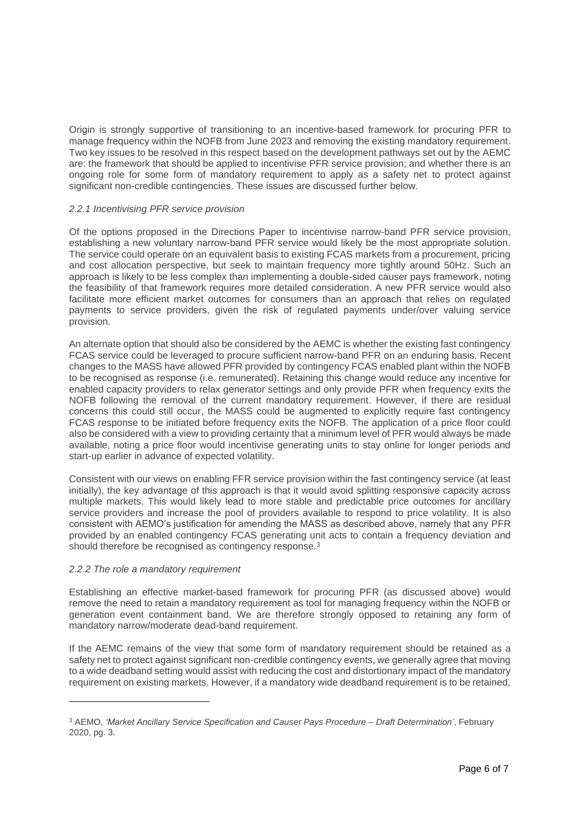Origin is strongly supportive of transitioning to an incentive-based framework for procuring PFR to manage frequency within the NOFB from June 2023 and removing the existing mandatory requirement. Two key issues to be resolved in this respect based on the development pathways set out by the AEMC are: the framework that should be applied to incentivise PFR service provision; and whether there is an ongoing role for some form of mandatory requirement to apply as a safety net to protect against significant non-credible contingencies. These issues are discussed further below.

## *2.2.1 Incentivising PFR service provision*

Of the options proposed in the Directions Paper to incentivise narrow-band PFR service provision, establishing a new voluntary narrow-band PFR service would likely be the most appropriate solution. The service could operate on an equivalent basis to existing FCAS markets from a procurement, pricing and cost allocation perspective, but seek to maintain frequency more tightly around 50Hz. Such an approach is likely to be less complex than implementing a double-sided causer pays framework, noting the feasibility of that framework requires more detailed consideration. A new PFR service would also facilitate more efficient market outcomes for consumers than an approach that relies on regulated payments to service providers, given the risk of regulated payments under/over valuing service provision.

An alternate option that should also be considered by the AEMC is whether the existing fast contingency FCAS service could be leveraged to procure sufficient narrow-band PFR on an enduring basis. Recent changes to the MASS have allowed PFR provided by contingency FCAS enabled plant within the NOFB to be recognised as response (i.e. remunerated). Retaining this change would reduce any incentive for enabled capacity providers to relax generator settings and only provide PFR when frequency exits the NOFB following the removal of the current mandatory requirement. However, if there are residual concerns this could still occur, the MASS could be augmented to explicitly require fast contingency FCAS response to be initiated before frequency exits the NOFB. The application of a price floor could also be considered with a view to providing certainty that a minimum level of PFR would always be made available, noting a price floor would incentivise generating units to stay online for longer periods and start-up earlier in advance of expected volatility.

Consistent with our views on enabling FFR service provision within the fast contingency service (at least initially), the key advantage of this approach is that it would avoid splitting responsive capacity across multiple markets. This would likely lead to more stable and predictable price outcomes for ancillary service providers and increase the pool of providers available to respond to price volatility. It is also consistent with AEMO's justification for amending the MASS as described above, namely that any PFR provided by an enabled contingency FCAS generating unit acts to contain a frequency deviation and should therefore be recognised as contingency response.<sup>3</sup>

### *2.2.2 The role a mandatory requirement*

Establishing an effective market-based framework for procuring PFR (as discussed above) would remove the need to retain a mandatory requirement as tool for managing frequency within the NOFB or generation event containment band. We are therefore strongly opposed to retaining any form of mandatory narrow/moderate dead-band requirement.

If the AEMC remains of the view that some form of mandatory requirement should be retained as a safety net to protect against significant non-credible contingency events, we generally agree that moving to a wide deadband setting would assist with reducing the cost and distortionary impact of the mandatory requirement on existing markets. However, if a mandatory wide deadband requirement is to be retained,

<sup>3</sup> AEMO, *'Market Ancillary Service Specification and Causer Pays Procedure – Draft Determination'*, February 2020, pg. 3.